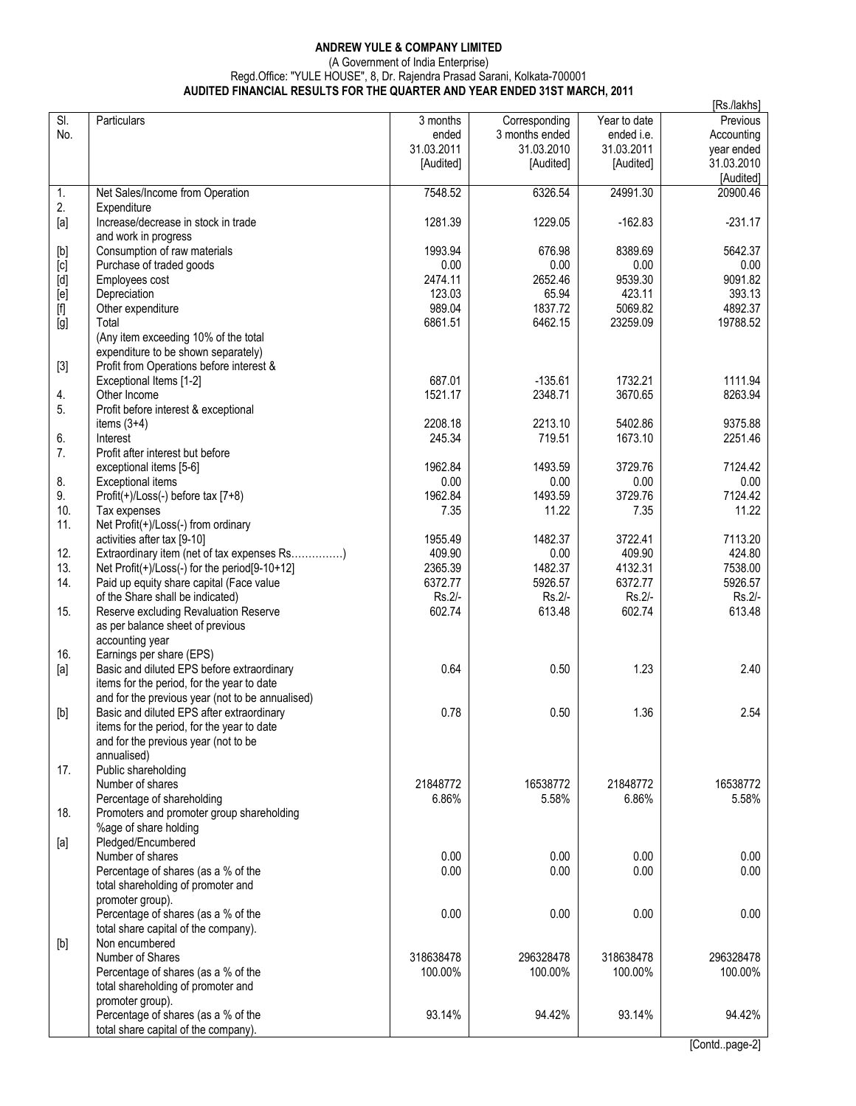## **ANDREW YULE & COMPANY LIMITED**  (A Government of India Enterprise) Regd.Office: "YULE HOUSE", 8, Dr. Rajendra Prasad Sarani, Kolkata-700001 **AUDITED FINANCIAL RESULTS FOR THE QUARTER AND YEAR ENDED 31ST MARCH, 2011**

|                                                                                                                                                                                                                                                                                                                                                                                                                                                                                                                                                                                                                                   |                                                  |            |                |              | [Rs./lakhs] |
|-----------------------------------------------------------------------------------------------------------------------------------------------------------------------------------------------------------------------------------------------------------------------------------------------------------------------------------------------------------------------------------------------------------------------------------------------------------------------------------------------------------------------------------------------------------------------------------------------------------------------------------|--------------------------------------------------|------------|----------------|--------------|-------------|
| $\overline{\mathsf{SI}}$ .                                                                                                                                                                                                                                                                                                                                                                                                                                                                                                                                                                                                        | Particulars                                      | 3 months   | Corresponding  | Year to date | Previous    |
| No.                                                                                                                                                                                                                                                                                                                                                                                                                                                                                                                                                                                                                               |                                                  | ended      | 3 months ended | ended i.e.   | Accounting  |
|                                                                                                                                                                                                                                                                                                                                                                                                                                                                                                                                                                                                                                   |                                                  | 31.03.2011 | 31.03.2010     | 31.03.2011   | year ended  |
|                                                                                                                                                                                                                                                                                                                                                                                                                                                                                                                                                                                                                                   |                                                  | [Audited]  | [Audited]      | [Audited]    | 31.03.2010  |
|                                                                                                                                                                                                                                                                                                                                                                                                                                                                                                                                                                                                                                   |                                                  |            |                |              |             |
|                                                                                                                                                                                                                                                                                                                                                                                                                                                                                                                                                                                                                                   |                                                  |            |                |              | [Audited]   |
| 1.                                                                                                                                                                                                                                                                                                                                                                                                                                                                                                                                                                                                                                | Net Sales/Income from Operation                  | 7548.52    | 6326.54        | 24991.30     | 20900.46    |
| 2.                                                                                                                                                                                                                                                                                                                                                                                                                                                                                                                                                                                                                                | Expenditure                                      |            |                |              |             |
| $[a]$                                                                                                                                                                                                                                                                                                                                                                                                                                                                                                                                                                                                                             | Increase/decrease in stock in trade              | 1281.39    | 1229.05        | $-162.83$    | $-231.17$   |
|                                                                                                                                                                                                                                                                                                                                                                                                                                                                                                                                                                                                                                   | and work in progress                             |            |                |              |             |
| $[b] % \begin{center} % \includegraphics[width=\linewidth]{imagesSupplemental_3.png} % \end{center} % \caption { % Our method can be used for the use of the image. % } % \label{fig:example} %$                                                                                                                                                                                                                                                                                                                                                                                                                                  | Consumption of raw materials                     | 1993.94    | 676.98         | 8389.69      | 5642.37     |
| [c]                                                                                                                                                                                                                                                                                                                                                                                                                                                                                                                                                                                                                               | Purchase of traded goods                         | 0.00       | 0.00           | 0.00         | 0.00        |
| $[d] % \begin{center} % \includegraphics[width=\linewidth]{imagesSupplemental_3.png} % \end{center} % \caption { % \textit{DefNet} of a class $\mathcal{M}_1$-error of the class $\mathcal{M}_2$-error of the class $\mathcal{M}_1$-error of the class $\mathcal{M}_2$-error of the class $\mathcal{M}_1$-error of the class $\mathcal{M}_2$-error of the class $\mathcal{M}_2$-error of the class $\mathcal{M}_1$-error of the class $\mathcal{M}_2$-error of the class $\mathcal{M}_1$-error of the class $\mathcal{M}_2$-error of the class $\mathcal{M}_2$-error of the class $\mathcal{M}_1$-error of the class $\mathcal{M$ | Employees cost                                   | 2474.11    | 2652.46        | 9539.30      | 9091.82     |
| [e]                                                                                                                                                                                                                                                                                                                                                                                                                                                                                                                                                                                                                               | Depreciation                                     | 123.03     | 65.94          | 423.11       | 393.13      |
|                                                                                                                                                                                                                                                                                                                                                                                                                                                                                                                                                                                                                                   |                                                  | 989.04     | 1837.72        | 5069.82      | 4892.37     |
|                                                                                                                                                                                                                                                                                                                                                                                                                                                                                                                                                                                                                                   | Other expenditure                                |            |                |              |             |
| [g]                                                                                                                                                                                                                                                                                                                                                                                                                                                                                                                                                                                                                               | Total                                            | 6861.51    | 6462.15        | 23259.09     | 19788.52    |
|                                                                                                                                                                                                                                                                                                                                                                                                                                                                                                                                                                                                                                   | (Any item exceeding 10% of the total             |            |                |              |             |
|                                                                                                                                                                                                                                                                                                                                                                                                                                                                                                                                                                                                                                   | expenditure to be shown separately)              |            |                |              |             |
| $[3]$                                                                                                                                                                                                                                                                                                                                                                                                                                                                                                                                                                                                                             | Profit from Operations before interest &         |            |                |              |             |
|                                                                                                                                                                                                                                                                                                                                                                                                                                                                                                                                                                                                                                   | Exceptional Items [1-2]                          | 687.01     | $-135.61$      | 1732.21      | 1111.94     |
| 4.                                                                                                                                                                                                                                                                                                                                                                                                                                                                                                                                                                                                                                | Other Income                                     | 1521.17    | 2348.71        | 3670.65      | 8263.94     |
| 5.                                                                                                                                                                                                                                                                                                                                                                                                                                                                                                                                                                                                                                | Profit before interest & exceptional             |            |                |              |             |
|                                                                                                                                                                                                                                                                                                                                                                                                                                                                                                                                                                                                                                   | items $(3+4)$                                    | 2208.18    | 2213.10        | 5402.86      | 9375.88     |
| 6.                                                                                                                                                                                                                                                                                                                                                                                                                                                                                                                                                                                                                                | Interest                                         | 245.34     | 719.51         | 1673.10      | 2251.46     |
|                                                                                                                                                                                                                                                                                                                                                                                                                                                                                                                                                                                                                                   |                                                  |            |                |              |             |
| 7.                                                                                                                                                                                                                                                                                                                                                                                                                                                                                                                                                                                                                                | Profit after interest but before                 |            |                |              |             |
|                                                                                                                                                                                                                                                                                                                                                                                                                                                                                                                                                                                                                                   | exceptional items [5-6]                          | 1962.84    | 1493.59        | 3729.76      | 7124.42     |
| 8.                                                                                                                                                                                                                                                                                                                                                                                                                                                                                                                                                                                                                                | <b>Exceptional items</b>                         | 0.00       | 0.00           | 0.00         | 0.00        |
| 9.                                                                                                                                                                                                                                                                                                                                                                                                                                                                                                                                                                                                                                | Profit(+)/Loss(-) before tax [7+8)               | 1962.84    | 1493.59        | 3729.76      | 7124.42     |
| 10.                                                                                                                                                                                                                                                                                                                                                                                                                                                                                                                                                                                                                               | Tax expenses                                     | 7.35       | 11.22          | 7.35         | 11.22       |
| 11.                                                                                                                                                                                                                                                                                                                                                                                                                                                                                                                                                                                                                               | Net Profit(+)/Loss(-) from ordinary              |            |                |              |             |
|                                                                                                                                                                                                                                                                                                                                                                                                                                                                                                                                                                                                                                   | activities after tax [9-10]                      | 1955.49    | 1482.37        | 3722.41      | 7113.20     |
| 12.                                                                                                                                                                                                                                                                                                                                                                                                                                                                                                                                                                                                                               | Extraordinary item (net of tax expenses Rs)      | 409.90     | 0.00           | 409.90       | 424.80      |
| 13.                                                                                                                                                                                                                                                                                                                                                                                                                                                                                                                                                                                                                               | Net Profit(+)/Loss(-) for the period[9-10+12]    | 2365.39    | 1482.37        | 4132.31      | 7538.00     |
| 14.                                                                                                                                                                                                                                                                                                                                                                                                                                                                                                                                                                                                                               | Paid up equity share capital (Face value         | 6372.77    | 5926.57        | 6372.77      | 5926.57     |
|                                                                                                                                                                                                                                                                                                                                                                                                                                                                                                                                                                                                                                   |                                                  |            |                |              |             |
|                                                                                                                                                                                                                                                                                                                                                                                                                                                                                                                                                                                                                                   | of the Share shall be indicated)                 | Rs.2/-     | Rs.2/-         | Rs.2/-       | Rs.2/-      |
| 15.                                                                                                                                                                                                                                                                                                                                                                                                                                                                                                                                                                                                                               | Reserve excluding Revaluation Reserve            | 602.74     | 613.48         | 602.74       | 613.48      |
|                                                                                                                                                                                                                                                                                                                                                                                                                                                                                                                                                                                                                                   | as per balance sheet of previous                 |            |                |              |             |
|                                                                                                                                                                                                                                                                                                                                                                                                                                                                                                                                                                                                                                   | accounting year                                  |            |                |              |             |
| 16.                                                                                                                                                                                                                                                                                                                                                                                                                                                                                                                                                                                                                               | Earnings per share (EPS)                         |            |                |              |             |
| [a]                                                                                                                                                                                                                                                                                                                                                                                                                                                                                                                                                                                                                               | Basic and diluted EPS before extraordinary       | 0.64       | 0.50           | 1.23         | 2.40        |
|                                                                                                                                                                                                                                                                                                                                                                                                                                                                                                                                                                                                                                   | items for the period, for the year to date       |            |                |              |             |
|                                                                                                                                                                                                                                                                                                                                                                                                                                                                                                                                                                                                                                   | and for the previous year (not to be annualised) |            |                |              |             |
| $[b] % \begin{center} % \includegraphics[width=\linewidth]{imagesSupplemental_3.png} % \end{center} % \caption { % Our method can be used for the use of the image. % } % \label{fig:example} %$                                                                                                                                                                                                                                                                                                                                                                                                                                  | Basic and diluted EPS after extraordinary        | 0.78       | 0.50           | 1.36         | 2.54        |
|                                                                                                                                                                                                                                                                                                                                                                                                                                                                                                                                                                                                                                   | items for the period, for the year to date       |            |                |              |             |
|                                                                                                                                                                                                                                                                                                                                                                                                                                                                                                                                                                                                                                   | and for the previous year (not to be             |            |                |              |             |
|                                                                                                                                                                                                                                                                                                                                                                                                                                                                                                                                                                                                                                   | annualised)                                      |            |                |              |             |
|                                                                                                                                                                                                                                                                                                                                                                                                                                                                                                                                                                                                                                   |                                                  |            |                |              |             |
| 17.                                                                                                                                                                                                                                                                                                                                                                                                                                                                                                                                                                                                                               | Public shareholding                              |            |                |              |             |
|                                                                                                                                                                                                                                                                                                                                                                                                                                                                                                                                                                                                                                   | Number of shares                                 | 21848772   | 16538772       | 21848772     | 16538772    |
|                                                                                                                                                                                                                                                                                                                                                                                                                                                                                                                                                                                                                                   | Percentage of shareholding                       | 6.86%      | 5.58%          | 6.86%        | 5.58%       |
| 18.                                                                                                                                                                                                                                                                                                                                                                                                                                                                                                                                                                                                                               | Promoters and promoter group shareholding        |            |                |              |             |
|                                                                                                                                                                                                                                                                                                                                                                                                                                                                                                                                                                                                                                   | %age of share holding                            |            |                |              |             |
| [a]                                                                                                                                                                                                                                                                                                                                                                                                                                                                                                                                                                                                                               | Pledged/Encumbered                               |            |                |              |             |
|                                                                                                                                                                                                                                                                                                                                                                                                                                                                                                                                                                                                                                   | Number of shares                                 | 0.00       | 0.00           | 0.00         | 0.00        |
|                                                                                                                                                                                                                                                                                                                                                                                                                                                                                                                                                                                                                                   | Percentage of shares (as a % of the              | 0.00       | 0.00           | 0.00         | 0.00        |
|                                                                                                                                                                                                                                                                                                                                                                                                                                                                                                                                                                                                                                   | total shareholding of promoter and               |            |                |              |             |
|                                                                                                                                                                                                                                                                                                                                                                                                                                                                                                                                                                                                                                   | promoter group).                                 |            |                |              |             |
|                                                                                                                                                                                                                                                                                                                                                                                                                                                                                                                                                                                                                                   |                                                  |            |                |              |             |
|                                                                                                                                                                                                                                                                                                                                                                                                                                                                                                                                                                                                                                   | Percentage of shares (as a % of the              | 0.00       | 0.00           | 0.00         | 0.00        |
|                                                                                                                                                                                                                                                                                                                                                                                                                                                                                                                                                                                                                                   | total share capital of the company).             |            |                |              |             |
|                                                                                                                                                                                                                                                                                                                                                                                                                                                                                                                                                                                                                                   | Non encumbered                                   |            |                |              |             |
|                                                                                                                                                                                                                                                                                                                                                                                                                                                                                                                                                                                                                                   | Number of Shares                                 | 318638478  | 296328478      | 318638478    | 296328478   |
|                                                                                                                                                                                                                                                                                                                                                                                                                                                                                                                                                                                                                                   | Percentage of shares (as a % of the              | 100.00%    | 100.00%        | 100.00%      | 100.00%     |
|                                                                                                                                                                                                                                                                                                                                                                                                                                                                                                                                                                                                                                   | total shareholding of promoter and               |            |                |              |             |
|                                                                                                                                                                                                                                                                                                                                                                                                                                                                                                                                                                                                                                   | promoter group).                                 |            |                |              |             |
|                                                                                                                                                                                                                                                                                                                                                                                                                                                                                                                                                                                                                                   | Percentage of shares (as a % of the              | 93.14%     | 94.42%         | 93.14%       | 94.42%      |
|                                                                                                                                                                                                                                                                                                                                                                                                                                                                                                                                                                                                                                   | total share capital of the company).             |            |                |              |             |
|                                                                                                                                                                                                                                                                                                                                                                                                                                                                                                                                                                                                                                   |                                                  |            |                |              |             |